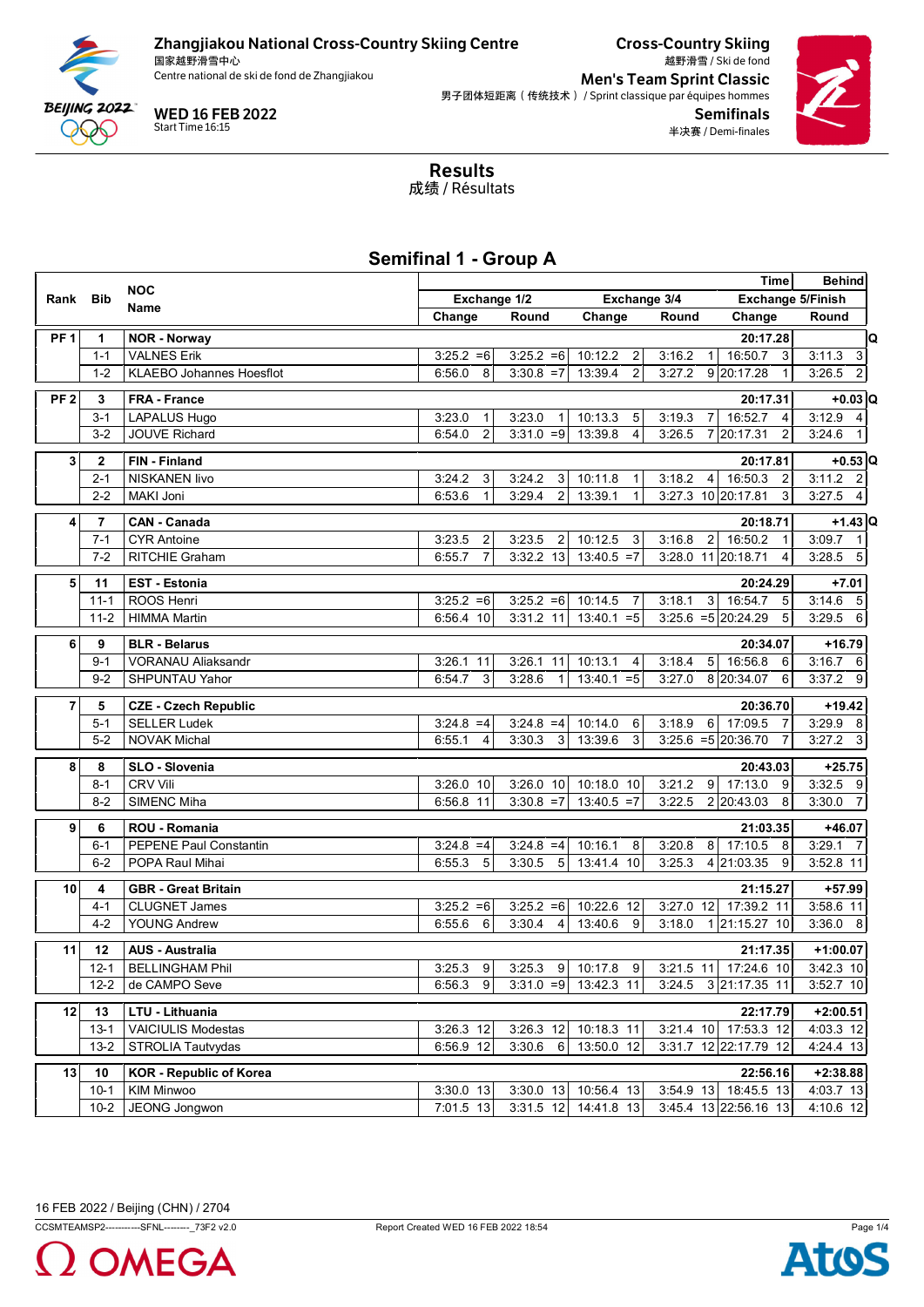

国家越野滑雪中心<br>Centre national de ski de fond de Zhangjiakou



Cross-Country Skiing 越野滑雪 / Ski de fond **Men's Team Sprint Classic** 男子团体短距离(传统技术) / Sprint classique par équipes hommes Semifinals 半决赛 / Demi-finales



Results 成绩 / Résultats

## **Semifinal 1 - Group A**

| <b>NOC</b>      |              |                                 |                          |                          |                           |           | Time                                         | <b>Behind</b>            |
|-----------------|--------------|---------------------------------|--------------------------|--------------------------|---------------------------|-----------|----------------------------------------------|--------------------------|
| Rank            | <b>Bib</b>   |                                 | Exchange 1/2             |                          | Exchange 3/4              |           | Exchange 5/Finish                            |                          |
|                 |              | Name                            | Change                   | Round                    | Change                    | Round     | Change                                       | Round                    |
| PF <sub>1</sub> | 1            | <b>NOR - Norway</b>             |                          |                          |                           |           | 20:17.28                                     | C                        |
|                 | $1 - 1$      | <b>VALNES Erik</b>              | $3:25.2 = 6$             | $3:25.2 = 6$             | 10:12.2<br>$\overline{2}$ | 3:16.2    | 16:50.7<br>$\mathbf{3}$<br>1 <sup>1</sup>    | 3:11.3<br>$\mathbf{3}$   |
|                 | $1 - 2$      | <b>KLAEBO Johannes Hoesflot</b> | 6:56.0<br>8              | $3:30.8 = 7$             | 13:39.4<br>$\overline{2}$ | 3:27.2    | 9 20:17.28<br>$\mathbf{1}$                   | $\overline{c}$<br>3:26.5 |
|                 |              |                                 |                          |                          |                           |           |                                              |                          |
| PF <sub>2</sub> | 3            | FRA - France                    |                          |                          |                           |           | 20:17.31                                     | $+0.03$ Q                |
|                 | $3-1$        | <b>LAPALUS Hugo</b>             | 3:23.0<br>$\mathbf{1}$   | 3:23.0                   | 10:13.3<br>5              | 3:19.3    | $\overline{7}$<br>16:52.7<br>4               | $3:12.9$ 4               |
|                 | $3-2$        | <b>JOUVE Richard</b>            | $\overline{2}$<br>6:54.0 | $3:31.0 = 9$             | 13:39.8<br>4              | 3:26.5    | 7 20:17.31<br>2                              | 3:24.6                   |
| 3               | $\mathbf{2}$ | <b>FIN-Finland</b>              |                          |                          |                           |           | 20:17.81                                     | $+0.53$ C                |
|                 | $2 - 1$      | <b>NISKANEN livo</b>            | 3:24.2<br>3              | 3:24.2<br>$\mathbf{3}$   | 10:11.8<br>$\mathbf{1}$   | 3:18.2    | 4 <sup>1</sup><br>16:50.3<br>$\overline{2}$  | $3:11.2$ 2               |
|                 | $2 - 2$      | MAKI Joni                       | $\mathbf{1}$<br>6:53.6   | $\overline{2}$<br>3:29.4 | 13:39.1<br>$\mathbf{1}$   |           | 3<br>3:27.3 10 20:17.81                      | $3:27.5$ 4               |
| 4               | 7            | <b>CAN - Canada</b>             |                          |                          |                           |           | 20:18.71                                     | $+1.43$ C                |
|                 | $7 - 1$      | <b>CYR Antoine</b>              | 3:23.5<br>2              | 3:23.5<br>2              | 10:12.5<br>3              | 3:16.8    | 2 <sub>1</sub><br>16:50.2                    | 3:09.7<br>$\overline{1}$ |
|                 | $7 - 2$      | <b>RITCHIE Graham</b>           | $\overline{7}$<br>6:55.7 | 3:32.2 13                | $13:40.5 = 7$             |           | 3:28.0 11 20:18.71<br>4                      | $3:28.5$ 5               |
| 5               | 11           | <b>EST - Estonia</b>            |                          |                          |                           |           | 20:24.29                                     | $+7.01$                  |
|                 | $11 - 1$     | ROOS Henri                      | $3:25.2 = 6$             | $3:25.2 = 6$             | 10:14.5<br>$\overline{7}$ | 3:18.1    | 3 <sup>1</sup><br>16:54.7<br>$-5$            | $3:14.6$ 5               |
|                 | $11 - 2$     | <b>HIMMA Martin</b>             | 6:56.4 10                | 3:31.2 11                | 13:40.1<br>$= 5$          |           | $3:25.6 = 5 \cdot 20:24.29$<br>5             | $3:29.5$ 6               |
|                 |              |                                 |                          |                          |                           |           |                                              |                          |
| 6               | 9            | <b>BLR - Belarus</b>            |                          |                          |                           |           | 20:34.07                                     | $+16.79$                 |
|                 | $9 - 1$      | <b>VORANAU Aliaksandr</b>       | 3:26.1 11                | 3:26.1 11                | 10:13.1<br>4              | 3:18.4    | 16:56.8<br>5 <sup>1</sup><br>6               | $3:16.7$ 6               |
|                 | $9 - 2$      | SHPUNTAU Yahor                  | $\mathbf{3}$<br>6:54.7   | 3:28.6                   | $13:40.1 = 5$             | 3:27.0    | 8 20:34.07<br>6                              | 3:37.2 9                 |
| $\overline{7}$  | 5            | <b>CZE - Czech Republic</b>     |                          |                          |                           |           | 20:36.70                                     | +19.42                   |
|                 | $5-1$        | <b>SELLER Ludek</b>             | $3:24.8 = 4$             | $3:24.8 = 4$             | 10:14.0<br>6              | 3:18.9    | $6 \overline{6}$<br>17:09.5                  | 3:29.9 8                 |
|                 | $5-2$        | <b>NOVAK Michal</b>             | $\overline{4}$<br>6:55.1 | 3:30.3<br>3              | 13:39.6<br>3              |           | $3:25.6 = 5 \mid 20:36.70$<br>$\overline{7}$ | $3:27.2$ 3               |
| 8               | 8            | SLO - Slovenia                  |                          |                          |                           |           | 20:43.03                                     | $+25.75$                 |
|                 | $8 - 1$      | <b>CRV Vili</b>                 | 3:26.0 10                | 3:26.0 10                | 10:18.0 10                | 3:21.2    | 17:13.0 9<br>9 <sup>1</sup>                  | $3:32.5$ 9               |
|                 | $8-2$        | SIMENC Miha                     | 6:56.8 11                | $3:30.8 = 7$             | $13:40.5 = 7$             | 3:22.5    | 2 20:43.03<br>8                              | 3:30.0<br>$\overline{7}$ |
|                 |              |                                 |                          |                          |                           |           |                                              |                          |
| 9               | 6            | ROU - Romania                   |                          |                          |                           |           | 21:03.35                                     | +46.07                   |
|                 | $6 - 1$      | <b>PEPENE Paul Constantin</b>   | $3:24.8 = 4$<br>5        | $3:24.8 = 4$             | 10:16.1<br>8              | 3:20.8    | 8<br>17:10.5<br>- 8                          | 3:29.1                   |
|                 | $6 - 2$      | POPA Raul Mihai                 | 6:55.3                   | 3:30.5<br>5              | 13:41.4 10                | 3:25.3    | 4 21:03.35<br>9                              | 3:52.8 11                |
| 10              | 4            | <b>GBR</b> - Great Britain      |                          |                          |                           |           | 21:15.27                                     | +57.99                   |
|                 | $4 - 1$      | <b>CLUGNET James</b>            | $3:25.2 = 6$             | $3:25.2 = 6$             | 10:22.6 12                | 3:27.0 12 | 17:39.2 11                                   | 3:58.6 11                |
|                 | $4 - 2$      | <b>YOUNG Andrew</b>             | 6:55.6<br>6              | 3:30.4<br>$\overline{4}$ | 13:40.6<br>9              | 3:18.0    | 1 21:15.27 10                                | $3:36.0$ 8               |
| 11              | 12           | <b>AUS - Australia</b>          |                          |                          |                           |           | 21:17.35                                     | $+1:00.07$               |
|                 | $12 - 1$     | <b>BELLINGHAM Phil</b>          | 3:25.3<br>9              | 3:25.3<br>9 <sup>1</sup> | 10:17.8<br>9 <sub>l</sub> |           | 3:21.5 11 17:24.6 10                         | 3:42.3 10                |
|                 | $12 - 2$     | de CAMPO Seve                   | 6:56.3<br>9              | $3:31.0 = 9$             | 13:42.3 11                | 3:24.5    | 3 21:17.35 11                                | 3:52.7 10                |
| 12              | 13           | LTU - Lithuania                 |                          |                          |                           |           | 22:17.79                                     | $+2:00.51$               |
|                 | $13 - 1$     | <b>VAICIULIS Modestas</b>       | 3:26.3 12                | 3:26.3 12                | 10:18.3 11                | 3:21.4 10 | 17:53.3 12                                   | 4:03.3 12                |
|                 | $13 - 2$     | STROLIA Tautvydas               | 6:56.9 12                | $\,6\,$<br>3:30.6        | 13:50.0 12                |           | 3:31.7 12 22:17.79 12                        | 4:24.4 13                |
|                 |              |                                 |                          |                          |                           |           |                                              |                          |
| 13              | 10           | <b>KOR</b> - Republic of Korea  |                          |                          |                           |           | 22:56.16                                     | $+2:38.88$               |
|                 | $10 - 1$     | <b>KIM Minwoo</b>               | 3:30.0 13                | $3:30.0$ 13              | 10:56.4 13                | 3:54.9 13 | 18:45.5 13                                   | 4:03.7 13                |
|                 | $10 - 2$     | <b>JEONG Jongwon</b>            | 7:01.5 13                | 3:31.5 12                | 14:41.8 13                |           | 3.45.4 13 22:56.16 13                        | 4:10.6 12                |

CCSMTEAMSP2-----------SFNL---------\_73F2 v2.0 Report Created WED 16 FEB 2022 18:54 Page 1/4



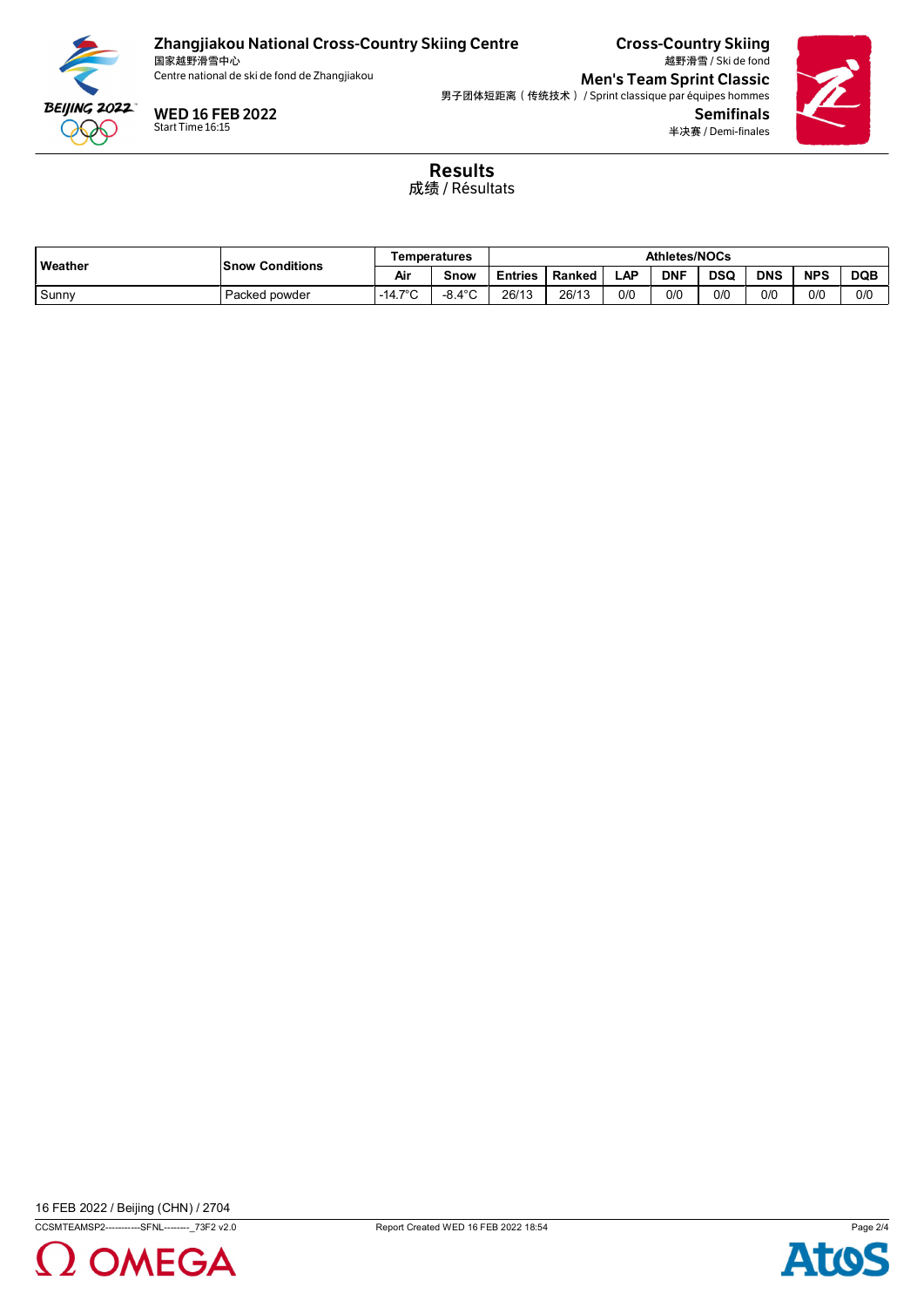

国家越野滑雪中心<br>Centre national de ski de fond de Zhangjiakou

WED 16 FEB 2022 Start Time 16:15

Cross-Country Skiing 越野滑雪 / Ski de fond **Men's Team Sprint Classic** 男子团体短距离(传统技术) / Sprint classique par équipes hommes Semifinals 半决赛 / Demi-finales



Results 成绩 / Résultats

| <b>Weather</b> | <b>Snow Conditions</b> | Temperatures    |                            | <b>Athletes/NOCs</b> |        |     |            |            |            |            |            |
|----------------|------------------------|-----------------|----------------------------|----------------------|--------|-----|------------|------------|------------|------------|------------|
|                |                        | Air<br>Snow     |                            | Entries              | Ranked | LAP | <b>DNF</b> | <b>DSQ</b> | <b>DNS</b> | <b>NPS</b> | <b>DQB</b> |
| Sunny          | Packed powder          | $-14.7^\circ$ C | 10 <sub>0</sub><br>-0<br>◡ | 26/13                | 26/13  | 0/0 | 0/0        | 0/0        | 0/0        | 0/0        | 0/0        |



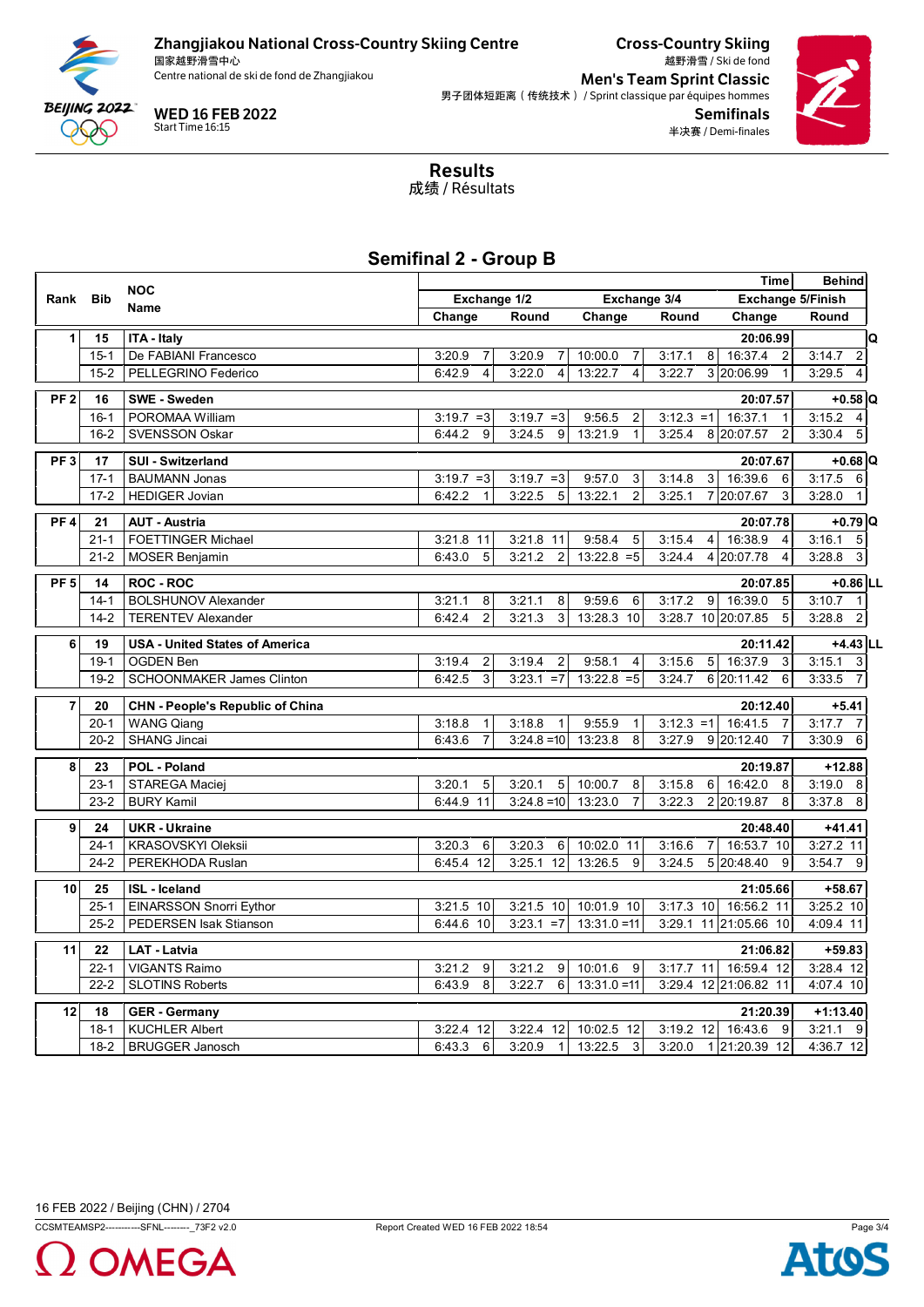

国家越野滑雪中心<br>Centre national de ski de fond de Zhangjiakou



Cross-Country Skiing 越野滑雪 / Ski de fond **Men's Team Sprint Classic** 男子团体短距离(传统技术) / Sprint classique par équipes hommes Semifinals 半决赛 / Demi-finales



Results 成绩 / Résultats

## **Semifinal 2 - Group B**

|                 |            | <b>NOC</b>                              | <b>Time</b>                  |                                   |                           |              |                                             |                            |
|-----------------|------------|-----------------------------------------|------------------------------|-----------------------------------|---------------------------|--------------|---------------------------------------------|----------------------------|
| Rank            | <b>Bib</b> | Name                                    | Exchange 1/2<br>Exchange 3/4 |                                   |                           |              | <b>Exchange 5/Finish</b>                    |                            |
|                 |            |                                         | Change                       | Round                             | Change                    | Round        | Change                                      | Round                      |
| 1               | 15         | <b>ITA - Italy</b>                      |                              |                                   |                           |              | 20:06.99                                    | Q                          |
|                 | $15 - 1$   | De FABIANI Francesco                    | 3:20.9<br>$\overline{7}$     | 3:20.9<br>$\overline{7}$          | 10:00.0<br>7              | 3:17.1       | 16:37.4<br>8<br>$\overline{2}$              | 3:14.7<br>$\boldsymbol{2}$ |
|                 | $15 - 2$   | PELLEGRINO Federico                     | 6:42.9<br>4                  | 3:22.0<br>$\overline{\mathbf{4}}$ | 13:22.7<br>$\overline{4}$ | 3:22.7       | 3 20:06.99<br>$\mathbf{1}$                  | 3:29.5<br>4                |
| PF <sub>2</sub> | 16         | <b>SWE - Sweden</b>                     |                              |                                   |                           |              | 20:07.57                                    | $+0.58$ Q                  |
|                 | $16 - 1$   | POROMAA William                         | $3:19.7 = 3$                 | $3:19.7 = 3$                      | 9:56.5<br>2               | $3:12.3 = 1$ | 16:37.1<br>$\overline{1}$                   | 3:15.2<br>4                |
|                 | $16 - 2$   | <b>SVENSSON Oskar</b>                   | 6:44.2<br>9                  | 3:24.5<br>9                       | 13:21.9<br>$\mathbf{1}$   | 3:25.4       | 8 20:07.57<br>2                             | 3:30.4<br>$\sqrt{5}$       |
|                 |            |                                         |                              |                                   |                           |              |                                             |                            |
| PF <sub>3</sub> | 17         | <b>SUI - Switzerland</b>                |                              |                                   |                           |              | 20:07.67                                    | $+0.68$ Q                  |
|                 | $17 - 1$   | <b>BAUMANN Jonas</b>                    | $3:19.7 = 3$                 | $3:19.7 = 3$                      | 9:57.0<br>3               | 3:14.8       | 16:39.6<br>$\mathbf{3}$<br>6                | 3:17.5<br>$\,6\,$          |
|                 | $17 - 2$   | <b>HEDIGER Jovian</b>                   | 6:42.2<br>$\overline{1}$     | 3:22.5<br>5                       | $\overline{2}$<br>13:22.1 | 3:25.1       | 7 20:07.67<br>3                             | 3:28.0<br>$\mathbf{1}$     |
| PF <sub>4</sub> | 21         | <b>AUT - Austria</b>                    |                              |                                   |                           |              | 20:07.78                                    | $+0.79$ Q                  |
|                 | $21 - 1$   | <b>FOETTINGER Michael</b>               | 3:21.8 11                    | 3:21.8 11                         | 9:58.4<br>5               | 3:15.4       | 16:38.9<br>$\overline{4}$<br>$\overline{4}$ | 3:16.1<br>5                |
|                 | $21 - 2$   | <b>MOSER Benjamin</b>                   | 5<br>6:43.0                  | 3:21.2<br>$\overline{2}$          | $13:22.8 = 5$             | 3:24.4       | 4 20:07.78<br>$\overline{4}$                | 3<br>3:28.8                |
| PF <sub>5</sub> | 14         | <b>ROC - ROC</b>                        |                              |                                   |                           |              | 20:07.85                                    | $+0.86$ LL                 |
|                 | $14 - 1$   | <b>BOLSHUNOV Alexander</b>              | 3:21.1<br>8                  | 3:21.1<br>8                       | 9:59.6<br>6               | 3:17.2       | 16:39.0<br>9 <sub>o</sub><br>5              | 3:10.7<br>$\overline{1}$   |
|                 | $14 - 2$   | <b>TERENTEV Alexander</b>               | $\overline{2}$<br>6:42.4     | 3:21.3<br>3                       | 13:28.3 10                |              | 3:28.7 10 20:07.85<br>5                     | 3:28.8<br>$\overline{2}$   |
|                 |            |                                         |                              |                                   |                           |              |                                             |                            |
| 6               | 19         | <b>USA - United States of America</b>   |                              |                                   |                           |              | 20:11.42                                    | $+4.43$ LL                 |
|                 | $19-1$     | <b>OGDEN Ben</b>                        | 3:19.4<br>$\overline{2}$     | 3:19.4<br>$\overline{2}$          | 9:58.1<br>4               | 3:15.6       | 5 <sub>1</sub><br>16:37.9<br>3              | 3:15.1<br>3                |
|                 | $19-2$     | <b>SCHOONMAKER James Clinton</b>        | $\overline{3}$<br>6:42.5     | $3:23.1 = 7$                      | $13:22.8 = 5$             | 3:24.7       | 6 20:11.42<br>6                             | 3:33.5 7                   |
| $\overline{7}$  | 20         | <b>CHN - People's Republic of China</b> |                              |                                   |                           |              | 20:12.40                                    | $+5.41$                    |
|                 | $20 - 1$   | <b>WANG Qiang</b>                       | 3:18.8<br>$\mathbf{1}$       | 3:18.8<br>$\mathbf{1}$            | 9:55.9<br>$\mathbf{1}$    | $3:12.3 = 1$ | 16:41.5<br>$\overline{7}$                   | 3:17.7<br>7                |
|                 | $20 - 2$   | <b>SHANG Jincai</b>                     | $\overline{7}$<br>6:43.6     | $3:24.8 = 10$                     | 13:23.8<br>8              | 3:27.9       | 9 20:12.40<br>$\overline{7}$                | 3:30.9<br>6                |
| 8               | 23         | POL - Poland                            |                              |                                   |                           |              | 20:19.87                                    | $+12.88$                   |
|                 | $23 - 1$   | STAREGA Maciej                          | 3:20.1<br>5                  | 3:20.1<br>5                       | 10:00.7<br>8              | 3:15.8       | 16:42.0<br>6<br>8                           | 3:19.0<br>- 8              |
|                 | $23 - 2$   | <b>BURY Kamil</b>                       | 6:44.9 11                    | $3:24.8 = 10$                     | 13:23.0<br>$\overline{7}$ | 3:22.3       | 2 20:19.87<br>8                             | 3:37.8<br>8                |
|                 |            |                                         |                              |                                   |                           |              |                                             |                            |
| 9               | 24         | <b>UKR</b> - Ukraine                    |                              |                                   |                           |              | 20:48.40                                    | $+41.41$                   |
|                 | $24 - 1$   | <b>KRASOVSKYI Oleksii</b>               | 3:20.3<br>6                  | 3:20.3<br>6                       | 10:02.0 11                | 3:16.6       | 16:53.7 10<br>$\overline{7}$                | 3:27.2 11                  |
|                 | $24 - 2$   | PEREKHODA Ruslan                        | 6:45.4 12                    | 3:25.1 12                         | 13:26.5<br>9              | 3:24.5       | 5 20:48.40<br>9                             | $3:54.7$ 9                 |
| 10              | 25         | <b>ISL</b> - Iceland                    |                              |                                   |                           |              | 21:05.66                                    | $+58.67$                   |
|                 | $25 - 1$   | <b>EINARSSON Snorri Eythor</b>          | 3:21.5 10                    | 3:21.5 10                         | 10:01.9 10                | 3:17.3 10    | 16:56.2 11                                  | 3:25.2 10                  |
|                 | $25 - 2$   | PEDERSEN Isak Stianson                  | 6:44.6 10                    | $3:23.1 = 7$                      | $13:31.0 = 11$            |              | 3:29.1 11 21:05.66 10                       | 4:09.4 11                  |
| 11              | 22         | <b>LAT - Latvia</b>                     |                              |                                   |                           |              | 21:06.82                                    | $+59.83$                   |
|                 | $22 - 1$   | <b>VIGANTS Raimo</b>                    | 3:21.2<br>9                  | 3:21.2<br>9                       | 10:01.6<br>9              | $3:17.7$ 11  | 16:59.4 12                                  | 3:28.4 12                  |
|                 | $22 - 2$   | <b>SLOTINS Roberts</b>                  | 8<br>6:43.9                  | 3:22.7<br>6                       | $13:31.0 = 11$            |              | 3:29.4 12 21:06.82 11                       | 4:07.4 10                  |
|                 |            |                                         |                              |                                   |                           |              |                                             |                            |
| 12              | 18         | <b>GER</b> - Germany                    |                              |                                   |                           |              | 21:20.39                                    | $+1:13.40$                 |
|                 | $18-1$     | <b>KUCHLER Albert</b>                   | 3:22.4 12                    | 3:22.4 12                         | 10:02.5 12                | 3:19.2 12    | 16:43.6<br>9                                | $3:21.1$ 9                 |
|                 | $18-2$     | <b>BRUGGER Janosch</b>                  | 6:43.3<br>6                  | 3:20.9<br>$\mathbf{1}$            | 13:22.5<br>3              | 3:20.0       | 1 21:20.39 12                               | 4:36.7 12                  |

16 FEB 2022 / Beijing (CHN) / 2704